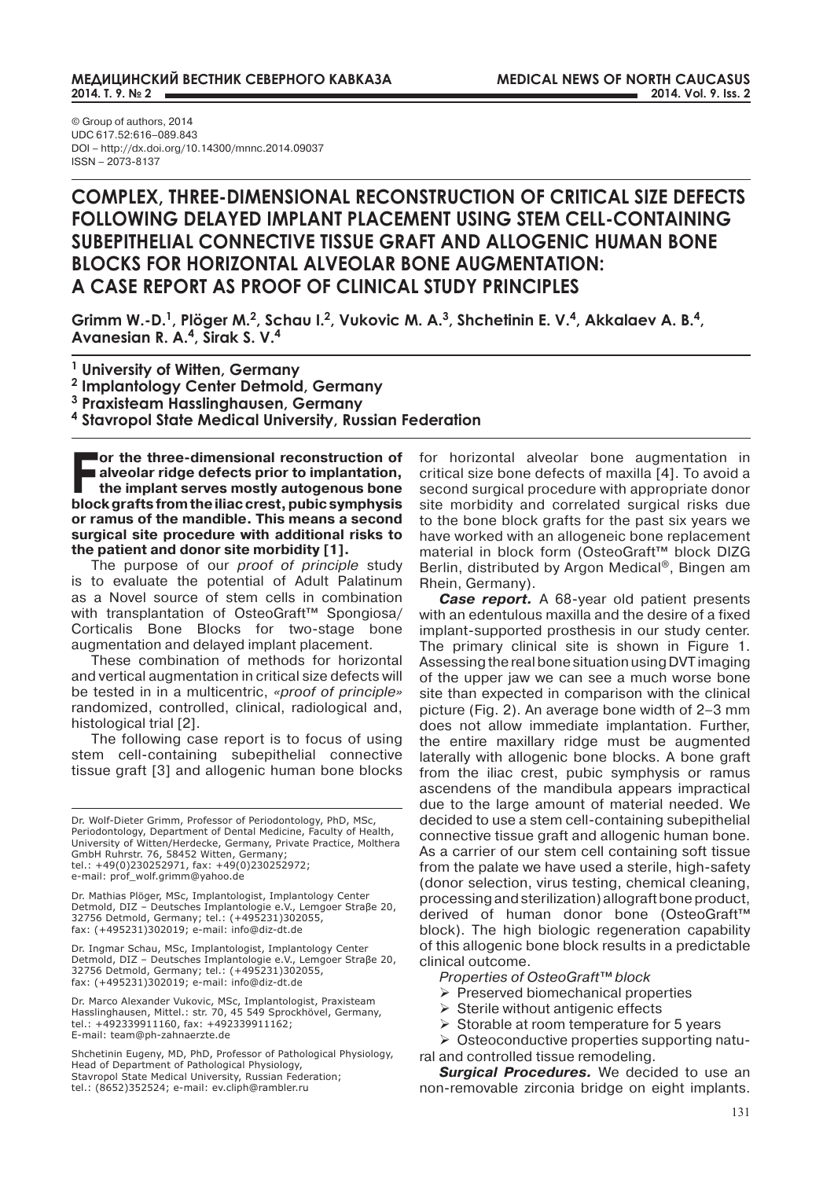## **МЕДИЦИНСКИЙ ВЕСТНИК СЕВЕРНОГО КАВКАЗА 2014. Т. 9. № 2**

© Group of authors, 2014 UDC 617.52:616–089.843 DOI – http://dx.doi.org/10.14300/mnnc.2014.09037 ISSN – 2073-8137

# **COMPLEX, THREE-DIMENSIONAL RECONSTRUCTION OF CRITICAL SIZE DEFECTS FOLLOWING DELAYED IMPLANT PLACEMENT USING STEM CELL-CONTAINING SUBEPITHELIAL CONNECTIVE TISSUE GRAFT AND ALLOGENIC HUMAN BONE BLOCKS FOR HORIZONTAL ALVEOLAR BONE AUGMENTATION: A CASE REPORT AS PROOF OF CLINICAL STUDY PRINCIPLES**

**Grimm W.-D.1, Plöger M.2, Schau I.2, Vukovic M. A.3, Shchetinin E. V.4, Akkalaev А. B.4, Avanesian R. A.4, Sirak S. V.4**

**1 University of Witten, Germany**

**<sup>2</sup> Implantology Center Detmold, Germany** 

**<sup>3</sup> Praxisteam Hasslinghausen, Germany**

**<sup>4</sup> Stavropol State Medical University, Russian Federation**

**For the three-dimensional reconstruction of alveolar ridge defects prior to implantation, the implant serves mostly autogenous bone block grafts from the iliac crest, pubic symphysis or ramus of the mandible. This means a second surgical site procedure with additional risks to the patient and donor site morbidity [1].** 

The purpose of our *proof of principle* study is to evaluate the potential of Adult Palatinum as a Novel source of stem cells in combination with transplantation of OsteoGraft<sup>™</sup> Spongiosa/ Corticalis Bone Blocks for two-stage bone augmentation and delayed implant placement.

These combination of methods for horizontal and vertical augmentation in critical size defects will be tested in in a multicentric, *«proof of principle»* randomized, controlled, clinical, radiological and, histological trial [2].

The following case report is to focus of using stem cell-containing subepithelial connective tissue graft [3] and allogenic human bone blocks

Dr. Wolf-Dieter Grimm, Professor of Periodontology, PhD, MSc, Periodontology, Department of Dental Medicine, Faculty of Health, University of Witten/Herdecke, Germany, Private Practice, Molthera GmbH Ruhrstr. 76, 58452 Witten, Germany; tel.: +49(0)230252971, fax: +49(0)230252972; e-mail: prof\_wolf.grimm@yahoo.de

Dr. Mathias Plöger, MSc, Implantologist, Implantology Center Detmold, DIZ – Deutsches Implantologie e.V., Lemgoer Straβe 20, 32756 Detmold, Germany; tel.: (+495231)302055, fax: (+495231)302019; е-mail: info@diz-dt.de

Dr. Ingmar Schau, MSc, Implantologist, Implantology Center Detmold, DIZ – Deutsches Implantologie e.V., Lemgoer Straβe 20, 32756 Detmold, Germany; tel.: (+495231)302055, fax: (+495231)302019; е-mail: info@diz-dt.de

Dr. Marco Alexander Vukovic, MSc, Implantologist, Praxisteam Hasslinghausen, Mittel.: str. 70, 45 549 Sprockhövel, Germany, tel.: +492339911160, fax: +492339911162; E-mail: team@ph-zahnaerzte.de

Shchetinin Eugeny, MD, PhD, Professor of Pathological Physiology, Head of Department of Pathological Physiology, Stavropol State Medical University, Russian Federation; tel.: (8652)352524; е-mail: ev.cliph@rambler.ru

for horizontal alveolar bone augmentation in critical size bone defects of maxilla [4]. To avoid a second surgical procedure with appropriate donor site morbidity and correlated surgical risks due to the bone block grafts for the past six years we have worked with an allogeneic bone replacement material in block form (OsteoGraft™ block DIZG Berlin, distributed by Argon Medical®, Bingen am Rhein, Germany).

*Case report.* A 68-year old patient presents with an edentulous maxilla and the desire of a fixed implant-supported prosthesis in our study center. The primary clinical site is shown in Figure 1. Assessing the real bone situation using DVT imaging of the upper jaw we can see a much worse bone site than expected in comparison with the clinical picture (Fig. 2). An average bone width of 2–3 mm does not allow immediate implantation. Further, the entire maxillary ridge must be augmented laterally with allogenic bone blocks. A bone graft from the iliac crest, pubic symphysis or ramus ascendens of the mandibula appears impractical due to the large amount of material needed. We decided to use a stem cell-containing subepithelial connective tissue graft and allogenic human bone. As a carrier of our stem cell containing soft tissue from the palate we have used a sterile, high-safety (donor selection, virus testing, chemical cleaning, processing and sterilization) allograft bone product, derived of human donor bone (OsteoGraft™ block). The high biologic regeneration capability of this allogenic bone block results in a predictable clinical outcome.

*Properties of OsteoGraft™ block*

- $\triangleright$  Preserved biomechanical properties
- $\triangleright$  Sterile without antigenic effects
- $\triangleright$  Storable at room temperature for 5 years
- $\triangleright$  Osteoconductive properties supporting natu-
- ral and controlled tissue remodeling.

*Surgical Procedures.* We decided to use an non-removable zirconia bridge on eight implants.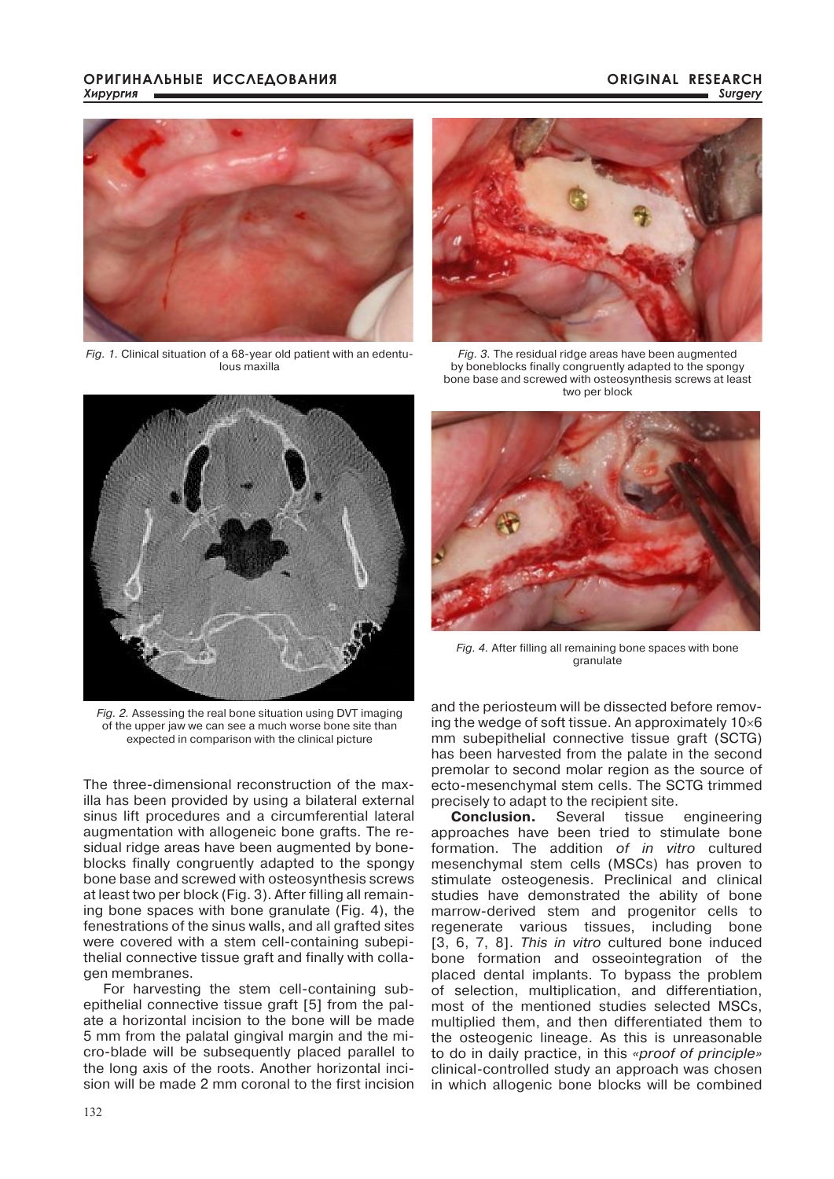### **ОРИГИНАЛЬНЫЕ ИССЛЕДОВАНИЯ** *Хирургия*

### **ORIGINAL RESEARCH** *Surgery*



*Fig. 1.* Clinical situation of a 68-year old patient with an edentulous maxilla



*Fig. 3.* The residual ridge areas have been augmented by boneblocks finally congruently adapted to the spongy bone base and screwed with osteosynthesis screws at least two per block



*Fig. 2.* Assessing the real bone situation using DVT imaging of the upper jaw we can see a much worse bone site than expected in comparison with the clinical picture

The three-dimensional reconstruction of the maxilla has been provided by using a bilateral external sinus lift procedures and a circumferential lateral augmentation with allogeneic bone grafts. The residual ridge areas have been augmented by boneblocks finally congruently adapted to the spongy bone base and screwed with osteosynthesis screws at least two per block (Fig. 3). After filling all remaining bone spaces with bone granulate (Fig. 4), the fenestrations of the sinus walls, and all grafted sites were covered with a stem cell-containing subepithelial connective tissue graft and finally with collagen membranes.

For harvesting the stem cell-containing subepithelial connective tissue graft [5] from the palate a horizontal incision to the bone will be made 5 mm from the palatal gingival margin and the micro-blade will be subsequently placed parallel to the long axis of the roots. Another horizontal incision will be made 2 mm coronal to the first incision



*Fig. 4.* After filling all remaining bone spaces with bone granulate

and the periosteum will be dissected before removing the wedge of soft tissue. An approximately 10×6 mm subepithelial connective tissue graft (SCTG) has been harvested from the palate in the second premolar to second molar region as the source of ecto-mesenchymal stem cells. The SCTG trimmed precisely to adapt to the recipient site.

**Conclusion.** Several tissue engineering approaches have been tried to stimulate bone formation. The addition *of in vitro* cultured mesenchymal stem cells (MSCs) has proven to stimulate osteogenesis. Preclinical and clinical studies have demonstrated the ability of bone marrow-derived stem and progenitor cells to regenerate various tissues, including bone [3, 6, 7, 8]. *This in vitro* cultured bone induced bone formation and osseointegration of the placed dental implants. To bypass the problem of selection, multiplication, and differentiation, most of the mentioned studies selected MSCs, multiplied them, and then differentiated them to the osteogenic lineage. As this is unreasonable to do in daily practice, in this *«proof of principle»* clinical-controlled study an approach was chosen in which allogenic bone blocks will be combined